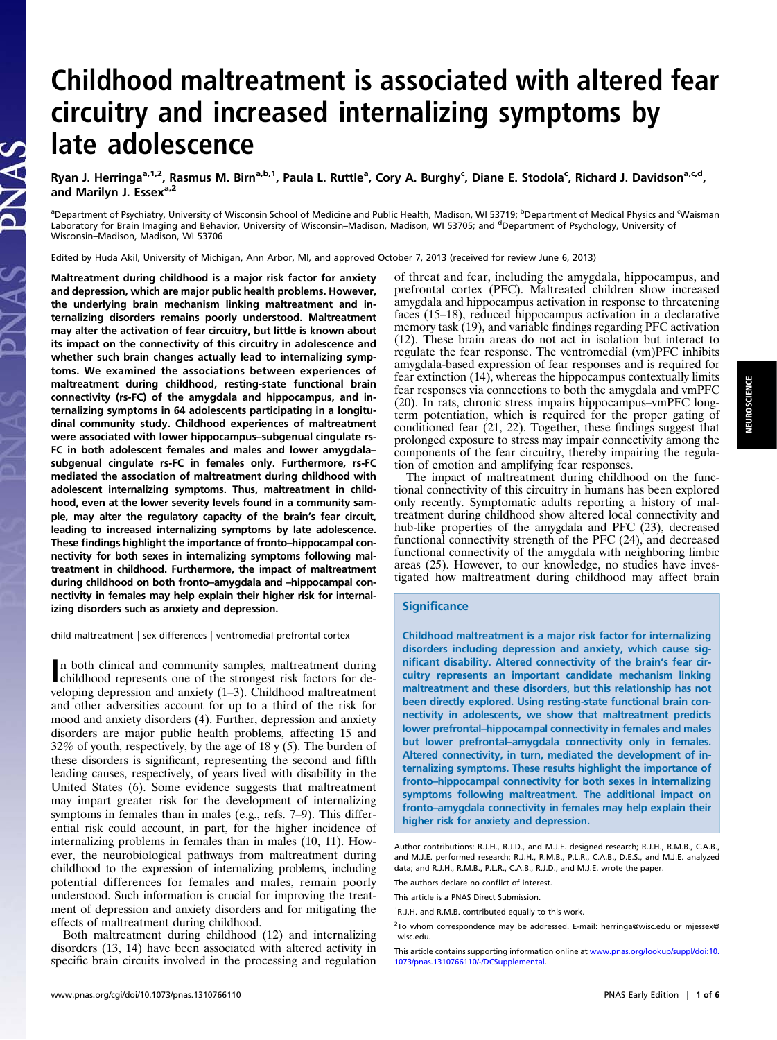# Childhood maltreatment is associated with altered fear circuitry and increased internalizing symptoms by late adolescence

Ryan J. Herringa<sup>a,1,2</sup>, Rasmus M. Birn<sup>a,b,1</sup>, Paula L. Ruttle<sup>a</sup>, Cory A. Burghy<sup>c</sup>, Diane E. Stodola<sup>c</sup>, Richard J. Davidson<sup>a,c,d</sup>, and Marilyn J. Essex<sup>a,2</sup>

<sup>a</sup>Department of Psychiatry, University of Wisconsin School of Medicine and Public Health, Madison, WI 53719; <sup>b</sup>Department of Medical Physics and <sup>c</sup>Waisman Laboratory for Brain Imaging and Behavior, University of Wisconsin–Madison, Madison, WI 53705; and <sup>d</sup>Department of Psychology, University of Wisconsin–Madison, Madison, WI 53706

Edited by Huda Akil, University of Michigan, Ann Arbor, MI, and approved October 7, 2013 (received for review June 6, 2013)

Maltreatment during childhood is a major risk factor for anxiety and depression, which are major public health problems. However, the underlying brain mechanism linking maltreatment and internalizing disorders remains poorly understood. Maltreatment may alter the activation of fear circuitry, but little is known about its impact on the connectivity of this circuitry in adolescence and whether such brain changes actually lead to internalizing symptoms. We examined the associations between experiences of maltreatment during childhood, resting-state functional brain connectivity (rs-FC) of the amygdala and hippocampus, and internalizing symptoms in 64 adolescents participating in a longitudinal community study. Childhood experiences of maltreatment were associated with lower hippocampus–subgenual cingulate rs-FC in both adolescent females and males and lower amygdala– subgenual cingulate rs-FC in females only. Furthermore, rs-FC mediated the association of maltreatment during childhood with adolescent internalizing symptoms. Thus, maltreatment in childhood, even at the lower severity levels found in a community sample, may alter the regulatory capacity of the brain's fear circuit, leading to increased internalizing symptoms by late adolescence. These findings highlight the importance of fronto–hippocampal connectivity for both sexes in internalizing symptoms following maltreatment in childhood. Furthermore, the impact of maltreatment during childhood on both fronto–amygdala and –hippocampal connectivity in females may help explain their higher risk for internalizing disorders such as anxiety and depression.

PNAS

child maltreatment | sex differences | ventromedial prefrontal cortex

In both clinical and community samples, maltreatment during<br>childhood represents one of the strongest risk factors for dechildhood represents one of the strongest risk factors for developing depression and anxiety (1–3). Childhood maltreatment and other adversities account for up to a third of the risk for mood and anxiety disorders (4). Further, depression and anxiety disorders are major public health problems, affecting 15 and 32% of youth, respectively, by the age of 18 y (5). The burden of these disorders is significant, representing the second and fifth leading causes, respectively, of years lived with disability in the United States (6). Some evidence suggests that maltreatment may impart greater risk for the development of internalizing symptoms in females than in males (e.g., refs. 7–9). This differential risk could account, in part, for the higher incidence of internalizing problems in females than in males (10, 11). However, the neurobiological pathways from maltreatment during childhood to the expression of internalizing problems, including potential differences for females and males, remain poorly understood. Such information is crucial for improving the treatment of depression and anxiety disorders and for mitigating the effects of maltreatment during childhood.

Both maltreatment during childhood (12) and internalizing disorders (13, 14) have been associated with altered activity in specific brain circuits involved in the processing and regulation of threat and fear, including the amygdala, hippocampus, and prefrontal cortex (PFC). Maltreated children show increased amygdala and hippocampus activation in response to threatening faces (15–18), reduced hippocampus activation in a declarative memory task (19), and variable findings regarding PFC activation (12). These brain areas do not act in isolation but interact to regulate the fear response. The ventromedial (vm)PFC inhibits amygdala-based expression of fear responses and is required for fear extinction (14), whereas the hippocampus contextually limits fear responses via connections to both the amygdala and vmPFC (20). In rats, chronic stress impairs hippocampus–vmPFC longterm potentiation, which is required for the proper gating of conditioned fear (21, 22). Together, these findings suggest that prolonged exposure to stress may impair connectivity among the components of the fear circuitry, thereby impairing the regulation of emotion and amplifying fear responses.

The impact of maltreatment during childhood on the functional connectivity of this circuitry in humans has been explored only recently. Symptomatic adults reporting a history of maltreatment during childhood show altered local connectivity and hub-like properties of the amygdala and PFC (23), decreased functional connectivity strength of the PFC (24), and decreased functional connectivity of the amygdala with neighboring limbic areas (25). However, to our knowledge, no studies have investigated how maltreatment during childhood may affect brain

### **Significance**

Childhood maltreatment is a major risk factor for internalizing disorders including depression and anxiety, which cause significant disability. Altered connectivity of the brain's fear circuitry represents an important candidate mechanism linking maltreatment and these disorders, but this relationship has not been directly explored. Using resting-state functional brain connectivity in adolescents, we show that maltreatment predicts lower prefrontal–hippocampal connectivity in females and males but lower prefrontal–amygdala connectivity only in females. Altered connectivity, in turn, mediated the development of internalizing symptoms. These results highlight the importance of fronto–hippocampal connectivity for both sexes in internalizing symptoms following maltreatment. The additional impact on fronto–amygdala connectivity in females may help explain their higher risk for anxiety and depression.

Author contributions: R.J.H., R.J.D., and M.J.E. designed research; R.J.H., R.M.B., C.A.B., and M.J.E. performed research; R.J.H., R.M.B., P.L.R., C.A.B., D.E.S., and M.J.E. analyzed data; and R.J.H., R.M.B., P.L.R., C.A.B., R.J.D., and M.J.E. wrote the paper.

The authors declare no conflict of interest.

This article is a PNAS Direct Submission.

<sup>&</sup>lt;sup>1</sup>R.J.H. and R.M.B. contributed equally to this work.

<sup>&</sup>lt;sup>2</sup>To whom correspondence may be addressed. E-mail: [herringa@wisc.edu](mailto:herringa@wisc.edu) or [mjessex@](mailto:mjessex@wisc.edu) [wisc.edu.](mailto:mjessex@wisc.edu)

This article contains supporting information online at [www.pnas.org/lookup/suppl/doi:10.](http://www.pnas.org/lookup/suppl/doi:10.1073/pnas.1310766110/-/DCSupplemental) [1073/pnas.1310766110/-/DCSupplemental](http://www.pnas.org/lookup/suppl/doi:10.1073/pnas.1310766110/-/DCSupplemental).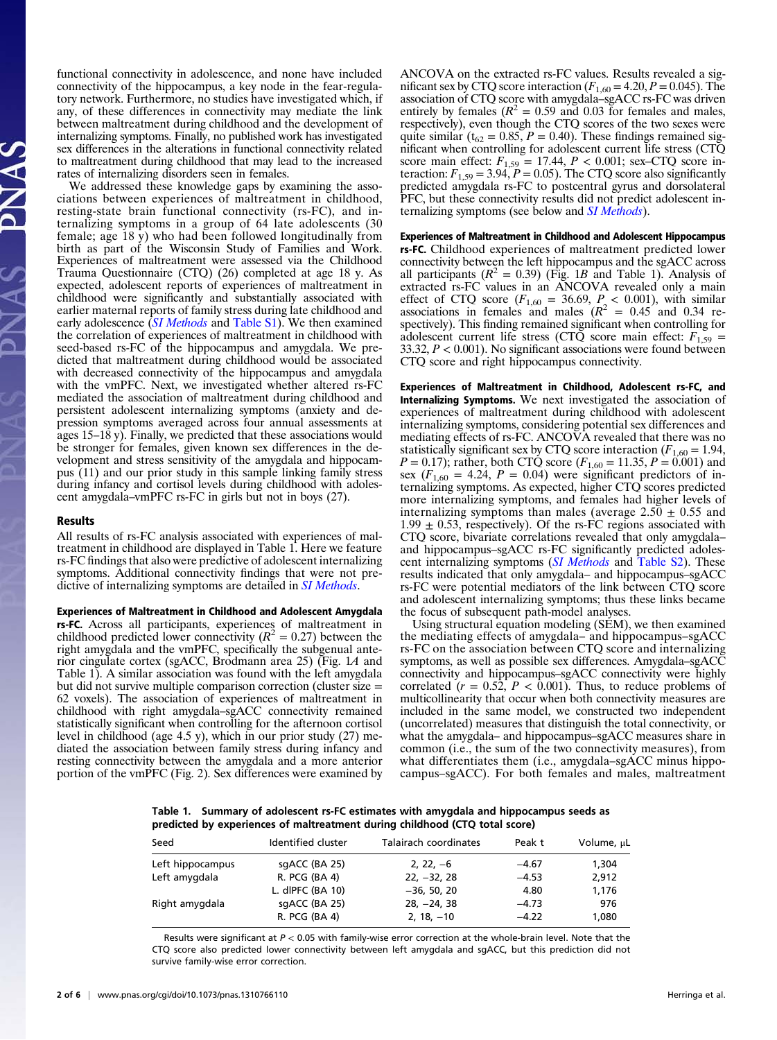functional connectivity in adolescence, and none have included connectivity of the hippocampus, a key node in the fear-regulatory network. Furthermore, no studies have investigated which, if any, of these differences in connectivity may mediate the link between maltreatment during childhood and the development of internalizing symptoms. Finally, no published work has investigated sex differences in the alterations in functional connectivity related to maltreatment during childhood that may lead to the increased rates of internalizing disorders seen in females.

We addressed these knowledge gaps by examining the associations between experiences of maltreatment in childhood, resting-state brain functional connectivity (rs-FC), and internalizing symptoms in a group of 64 late adolescents (30 female; age 18 y) who had been followed longitudinally from birth as part of the Wisconsin Study of Families and Work. Experiences of maltreatment were assessed via the Childhood Trauma Questionnaire (CTQ) (26) completed at age 18 y. As expected, adolescent reports of experiences of maltreatment in childhood were significantly and substantially associated with earlier maternal reports of family stress during late childhood and early adolescence ([SI Methods](http://www.pnas.org/lookup/suppl/doi:10.1073/pnas.1310766110/-/DCSupplemental/pnas.201310766SI.pdf?targetid=nameddest=STXT) and [Table S1\)](http://www.pnas.org/lookup/suppl/doi:10.1073/pnas.1310766110/-/DCSupplemental/pnas.201310766SI.pdf?targetid=nameddest=ST1). We then examined the correlation of experiences of maltreatment in childhood with seed-based rs-FC of the hippocampus and amygdala. We predicted that maltreatment during childhood would be associated with decreased connectivity of the hippocampus and amygdala with the vmPFC. Next, we investigated whether altered rs-FC mediated the association of maltreatment during childhood and persistent adolescent internalizing symptoms (anxiety and depression symptoms averaged across four annual assessments at ages 15–18 y). Finally, we predicted that these associations would be stronger for females, given known sex differences in the development and stress sensitivity of the amygdala and hippocampus (11) and our prior study in this sample linking family stress during infancy and cortisol levels during childhood with adolescent amygdala–vmPFC rs-FC in girls but not in boys (27).

#### Results

All results of rs-FC analysis associated with experiences of maltreatment in childhood are displayed in Table 1. Here we feature rs-FC findings that also were predictive of adolescent internalizing symptoms. Additional connectivity findings that were not predictive of internalizing symptoms are detailed in *[SI Methods](http://www.pnas.org/lookup/suppl/doi:10.1073/pnas.1310766110/-/DCSupplemental/pnas.201310766SI.pdf?targetid=nameddest=STXT)*.

#### Experiences of Maltreatment in Childhood and Adolescent Amygdala

**rs-FC.** Across all participants, experiences of maltreatment in childhood predicted lower connectivity  $(R^2 = 0.27)$  between the right amygdala and the vmPFC, specifically the subgenual anterior cingulate cortex (sgACC, Brodmann area 25) (Fig. 1A and Table 1). A similar association was found with the left amygdala but did not survive multiple comparison correction (cluster size = 62 voxels). The association of experiences of maltreatment in childhood with right amygdala–sgACC connectivity remained statistically significant when controlling for the afternoon cortisol level in childhood (age 4.5 y), which in our prior study (27) mediated the association between family stress during infancy and resting connectivity between the amygdala and a more anterior portion of the vmPFC (Fig. 2). Sex differences were examined by ANCOVA on the extracted rs-FC values. Results revealed a significant sex by CTQ score interaction  $(F_{1,60} = 4.20, P = 0.045)$ . The association of CTQ score with amygdala–sgACC rs-FC was driven entirely by females ( $R^2 = 0.59$  and 0.03 for females and males, respectively), even though the CTQ scores of the two sexes were quite similar  $(t_{62} = 0.85, P = 0.40)$ . These findings remained significant when controlling for adolescent current life stress (CTQ score main effect:  $F_{1,59} = 17.44$ ,  $P < 0.001$ ; sex–CTQ score interaction:  $F_{1,59} = 3.94$ ,  $P = 0.05$ ). The CTQ score also significantly predicted amygdala rs-FC to postcentral gyrus and dorsolateral PFC, but these connectivity results did not predict adolescent internalizing symptoms (see below and *[SI Methods](http://www.pnas.org/lookup/suppl/doi:10.1073/pnas.1310766110/-/DCSupplemental/pnas.201310766SI.pdf?targetid=nameddest=STXT)*).

Experiences of Maltreatment in Childhood and Adolescent Hippocampus rs-FC. Childhood experiences of maltreatment predicted lower connectivity between the left hippocampus and the sgACC across all participants ( $R^2 = 0.39$ ) (Fig. 1B and Table 1). Analysis of extracted rs-FC values in an ANCOVA revealed only a main effect of CTQ score  $(F_{1,60} = 36.69, P_{2} < 0.001)$ , with similar associations in females and males  $(R^2 = 0.45)$  and 0.34 respectively). This finding remained significant when controlling for adolescent current life stress (CTQ score main effect:  $F_{1,59}$  = 33.32,  $P < 0.001$ ). No significant associations were found between CTQ score and right hippocampus connectivity.

Experiences of Maltreatment in Childhood, Adolescent rs-FC, and Internalizing Symptoms. We next investigated the association of experiences of maltreatment during childhood with adolescent internalizing symptoms, considering potential sex differences and mediating effects of rs-FC. ANCOVA revealed that there was no statistically significant sex by CTQ score interaction ( $F_{1,60} = 1.94$ ,  $P = 0.17$ ); rather, both CTQ score  $(F_{1,60} = 11.35, P = 0.001)$  and sex ( $F_{1,60} = 4.24$ ,  $P = 0.04$ ) were significant predictors of internalizing symptoms. As expected, higher CTQ scores predicted more internalizing symptoms, and females had higher levels of internalizing symptoms than males (average  $2.50 \pm 0.55$  and  $1.99 \pm 0.53$ , respectively). Of the rs-FC regions associated with CTQ score, bivariate correlations revealed that only amygdala– and hippocampus–sgACC rs-FC significantly predicted adoles-cent internalizing symptoms ([SI Methods](http://www.pnas.org/lookup/suppl/doi:10.1073/pnas.1310766110/-/DCSupplemental/pnas.201310766SI.pdf?targetid=nameddest=STXT) and [Table S2\)](http://www.pnas.org/lookup/suppl/doi:10.1073/pnas.1310766110/-/DCSupplemental/pnas.201310766SI.pdf?targetid=nameddest=ST2). These results indicated that only amygdala– and hippocampus–sgACC rs-FC were potential mediators of the link between CTQ score and adolescent internalizing symptoms; thus these links became the focus of subsequent path-model analyses.

Using structural equation modeling (SEM), we then examined the mediating effects of amygdala– and hippocampus–sgACC rs-FC on the association between CTQ score and internalizing symptoms, as well as possible sex differences. Amygdala–sgACC connectivity and hippocampus–sgACC connectivity were highly correlated  $(r = 0.52, P < 0.001)$ . Thus, to reduce problems of multicollinearity that occur when both connectivity measures are included in the same model, we constructed two independent (uncorrelated) measures that distinguish the total connectivity, or what the amygdala– and hippocampus–sgACC measures share in common (i.e., the sum of the two connectivity measures), from what differentiates them (i.e., amygdala–sgACC minus hippocampus–sgACC). For both females and males, maltreatment

Table 1. Summary of adolescent rs-FC estimates with amygdala and hippocampus seeds as predicted by experiences of maltreatment during childhood (CTQ total score)

| Seed             | Identified cluster | Talairach coordinates | Peak t  | Volume, µL |
|------------------|--------------------|-----------------------|---------|------------|
| Left hippocampus | sgACC (BA 25)      | $2, 22, -6$           | $-4.67$ | 1.304      |
| Left amygdala    | R. PCG (BA 4)      | $22, -32, 28$         | $-4.53$ | 2.912      |
|                  | L. dlPFC (BA 10)   | $-36, 50, 20$         | 4.80    | 1,176      |
| Right amygdala   | sqACC (BA 25)      | $28, -24, 38$         | $-4.73$ | 976        |
|                  | R. PCG (BA 4)      | $2, 18, -10$          | $-4.22$ | 1,080      |

Results were significant at  $P < 0.05$  with family-wise error correction at the whole-brain level. Note that the CTQ score also predicted lower connectivity between left amygdala and sgACC, but this prediction did not survive family-wise error correction.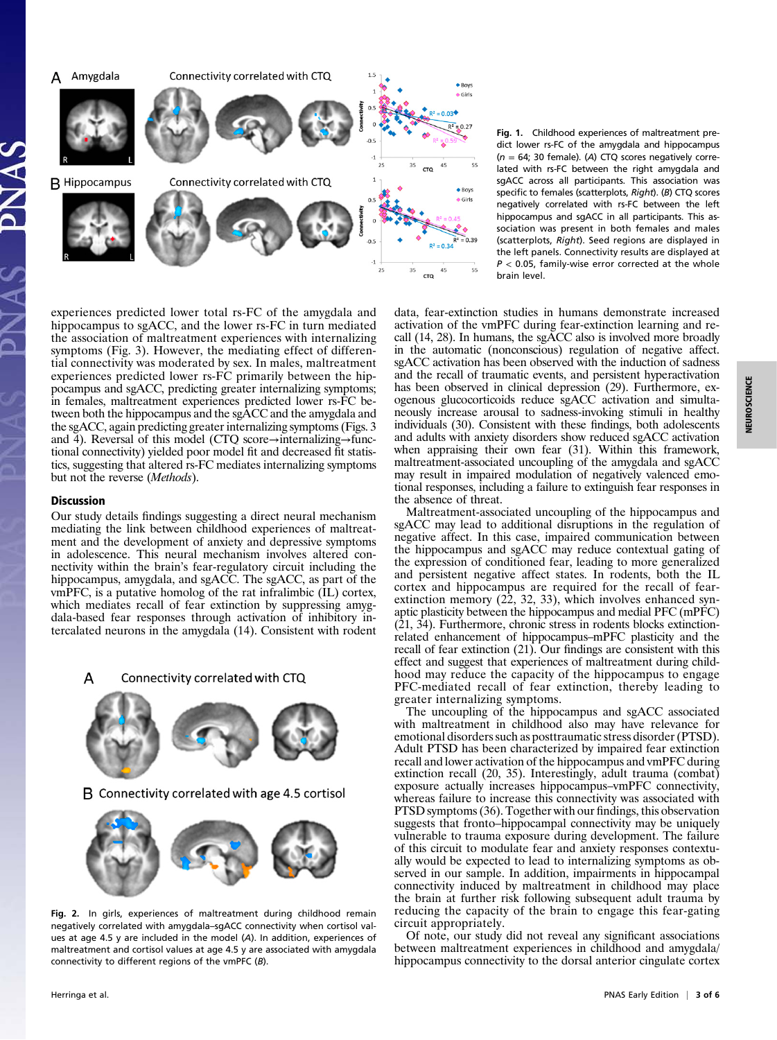

experiences predicted lower total rs-FC of the amygdala and hippocampus to sgACC, and the lower rs-FC in turn mediated the association of maltreatment experiences with internalizing symptoms (Fig. 3). However, the mediating effect of differential connectivity was moderated by sex. In males, maltreatment experiences predicted lower rs-FC primarily between the hippocampus and sgACC, predicting greater internalizing symptoms; in females, maltreatment experiences predicted lower rs-FC between both the hippocampus and the sgACC and the amygdala and the sgACC, again predicting greater internalizing symptoms (Figs. 3 and 4). Reversal of this model (CTQ score→internalizing→functional connectivity) yielded poor model fit and decreased fit statistics, suggesting that altered rs-FC mediates internalizing symptoms but not the reverse (Methods).

#### Discussion

Our study details findings suggesting a direct neural mechanism mediating the link between childhood experiences of maltreatment and the development of anxiety and depressive symptoms in adolescence. This neural mechanism involves altered connectivity within the brain's fear-regulatory circuit including the hippocampus, amygdala, and sgACC. The sgACC, as part of the vmPFC, is a putative homolog of the rat infralimbic (IL) cortex, which mediates recall of fear extinction by suppressing amygdala-based fear responses through activation of inhibitory intercalated neurons in the amygdala (14). Consistent with rodent



Fig. 2. In girls, experiences of maltreatment during childhood remain negatively correlated with amygdala–sgACC connectivity when cortisol values at age 4.5 y are included in the model (A). In addition, experiences of maltreatment and cortisol values at age 4.5 y are associated with amygdala connectivity to different regions of the vmPFC (B).

Fig. 1. Childhood experiences of maltreatment predict lower rs-FC of the amygdala and hippocampus  $(n = 64; 30$  female). (A) CTQ scores negatively correlated with rs-FC between the right amygdala and sgACC across all participants. This association was specific to females (scatterplots, Right). (B) CTQ scores negatively correlated with rs-FC between the left hippocampus and sgACC in all participants. This association was present in both females and males (scatterplots, Right). Seed regions are displayed in the left panels. Connectivity results are displayed at  $P < 0.05$ , family-wise error corrected at the whole brain level.

data, fear-extinction studies in humans demonstrate increased activation of the vmPFC during fear-extinction learning and recall (14, 28). In humans, the sgACC also is involved more broadly in the automatic (nonconscious) regulation of negative affect. sgACC activation has been observed with the induction of sadness and the recall of traumatic events, and persistent hyperactivation has been observed in clinical depression (29). Furthermore, exogenous glucocorticoids reduce sgACC activation and simultaneously increase arousal to sadness-invoking stimuli in healthy individuals (30). Consistent with these findings, both adolescents and adults with anxiety disorders show reduced sgACC activation when appraising their own fear (31). Within this framework, maltreatment-associated uncoupling of the amygdala and sgACC may result in impaired modulation of negatively valenced emotional responses, including a failure to extinguish fear responses in the absence of threat.

Maltreatment-associated uncoupling of the hippocampus and sgACC may lead to additional disruptions in the regulation of negative affect. In this case, impaired communication between the hippocampus and sgACC may reduce contextual gating of the expression of conditioned fear, leading to more generalized and persistent negative affect states. In rodents, both the IL cortex and hippocampus are required for the recall of fearextinction memory (22, 32, 33), which involves enhanced synaptic plasticity between the hippocampus and medial PFC (mPFC) (21, 34). Furthermore, chronic stress in rodents blocks extinctionrelated enhancement of hippocampus–mPFC plasticity and the recall of fear extinction (21). Our findings are consistent with this effect and suggest that experiences of maltreatment during childhood may reduce the capacity of the hippocampus to engage PFC-mediated recall of fear extinction, thereby leading to greater internalizing symptoms.

The uncoupling of the hippocampus and sgACC associated with maltreatment in childhood also may have relevance for emotional disorders such as posttraumatic stress disorder (PTSD). Adult PTSD has been characterized by impaired fear extinction recall and lower activation of the hippocampus and vmPFC during extinction recall (20, 35). Interestingly, adult trauma (combat) exposure actually increases hippocampus–vmPFC connectivity, whereas failure to increase this connectivity was associated with PTSD symptoms (36). Together with our findings, this observation suggests that fronto–hippocampal connectivity may be uniquely vulnerable to trauma exposure during development. The failure of this circuit to modulate fear and anxiety responses contextually would be expected to lead to internalizing symptoms as observed in our sample. In addition, impairments in hippocampal connectivity induced by maltreatment in childhood may place the brain at further risk following subsequent adult trauma by reducing the capacity of the brain to engage this fear-gating circuit appropriately.

Of note, our study did not reveal any significant associations between maltreatment experiences in childhood and amygdala/ hippocampus connectivity to the dorsal anterior cingulate cortex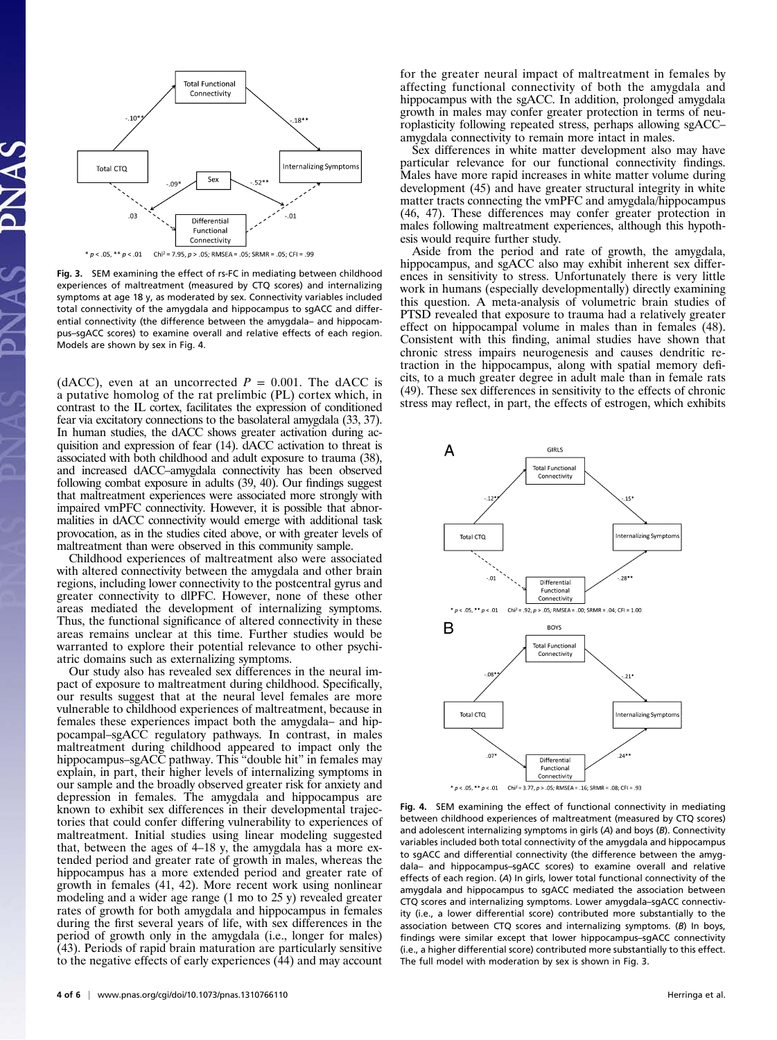

Fig. 3. SEM examining the effect of rs-FC in mediating between childhood experiences of maltreatment (measured by CTQ scores) and internalizing symptoms at age 18 y, as moderated by sex. Connectivity variables included total connectivity of the amygdala and hippocampus to sgACC and differential connectivity (the difference between the amygdala– and hippocampus–sgACC scores) to examine overall and relative effects of each region. Models are shown by sex in Fig. 4.

(dACC), even at an uncorrected  $P = 0.001$ . The dACC is a putative homolog of the rat prelimbic (PL) cortex which, in contrast to the IL cortex, facilitates the expression of conditioned fear via excitatory connections to the basolateral amygdala (33, 37). In human studies, the dACC shows greater activation during acquisition and expression of fear (14). dACC activation to threat is associated with both childhood and adult exposure to trauma (38), and increased dACC–amygdala connectivity has been observed following combat exposure in adults (39, 40). Our findings suggest that maltreatment experiences were associated more strongly with impaired vmPFC connectivity. However, it is possible that abnormalities in dACC connectivity would emerge with additional task provocation, as in the studies cited above, or with greater levels of maltreatment than were observed in this community sample.

Childhood experiences of maltreatment also were associated with altered connectivity between the amygdala and other brain regions, including lower connectivity to the postcentral gyrus and greater connectivity to dlPFC. However, none of these other areas mediated the development of internalizing symptoms. Thus, the functional significance of altered connectivity in these areas remains unclear at this time. Further studies would be warranted to explore their potential relevance to other psychiatric domains such as externalizing symptoms.

Our study also has revealed sex differences in the neural impact of exposure to maltreatment during childhood. Specifically, our results suggest that at the neural level females are more vulnerable to childhood experiences of maltreatment, because in females these experiences impact both the amygdala– and hippocampal–sgACC regulatory pathways. In contrast, in males maltreatment during childhood appeared to impact only the hippocampus–sgACC pathway. This "double hit" in females may explain, in part, their higher levels of internalizing symptoms in our sample and the broadly observed greater risk for anxiety and depression in females. The amygdala and hippocampus are known to exhibit sex differences in their developmental trajectories that could confer differing vulnerability to experiences of maltreatment. Initial studies using linear modeling suggested that, between the ages of 4–18 y, the amygdala has a more extended period and greater rate of growth in males, whereas the hippocampus has a more extended period and greater rate of growth in females (41, 42). More recent work using nonlinear modeling and a wider age range (1 mo to 25 y) revealed greater rates of growth for both amygdala and hippocampus in females during the first several years of life, with sex differences in the period of growth only in the amygdala (i.e., longer for males) (43). Periods of rapid brain maturation are particularly sensitive to the negative effects of early experiences (44) and may account

for the greater neural impact of maltreatment in females by affecting functional connectivity of both the amygdala and hippocampus with the sgACC. In addition, prolonged amygdala growth in males may confer greater protection in terms of neuroplasticity following repeated stress, perhaps allowing sgACC– amygdala connectivity to remain more intact in males.

Sex differences in white matter development also may have particular relevance for our functional connectivity findings. Males have more rapid increases in white matter volume during development (45) and have greater structural integrity in white matter tracts connecting the vmPFC and amygdala/hippocampus (46, 47). These differences may confer greater protection in males following maltreatment experiences, although this hypothesis would require further study.

Aside from the period and rate of growth, the amygdala, hippocampus, and sgACC also may exhibit inherent sex differences in sensitivity to stress. Unfortunately there is very little work in humans (especially developmentally) directly examining this question. A meta-analysis of volumetric brain studies of PTSD revealed that exposure to trauma had a relatively greater effect on hippocampal volume in males than in females (48). Consistent with this finding, animal studies have shown that chronic stress impairs neurogenesis and causes dendritic retraction in the hippocampus, along with spatial memory deficits, to a much greater degree in adult male than in female rats (49). These sex differences in sensitivity to the effects of chronic stress may reflect, in part, the effects of estrogen, which exhibits



Fig. 4. SEM examining the effect of functional connectivity in mediating between childhood experiences of maltreatment (measured by CTQ scores) and adolescent internalizing symptoms in girls (A) and boys (B). Connectivity variables included both total connectivity of the amygdala and hippocampus to sgACC and differential connectivity (the difference between the amygdala– and hippocampus–sgACC scores) to examine overall and relative effects of each region. (A) In girls, lower total functional connectivity of the amygdala and hippocampus to sgACC mediated the association between CTQ scores and internalizing symptoms. Lower amygdala–sgACC connectivity (i.e., a lower differential score) contributed more substantially to the association between CTQ scores and internalizing symptoms. (B) In boys, findings were similar except that lower hippocampus–sgACC connectivity (i.e., a higher differential score) contributed more substantially to this effect. The full model with moderation by sex is shown in Fig. 3.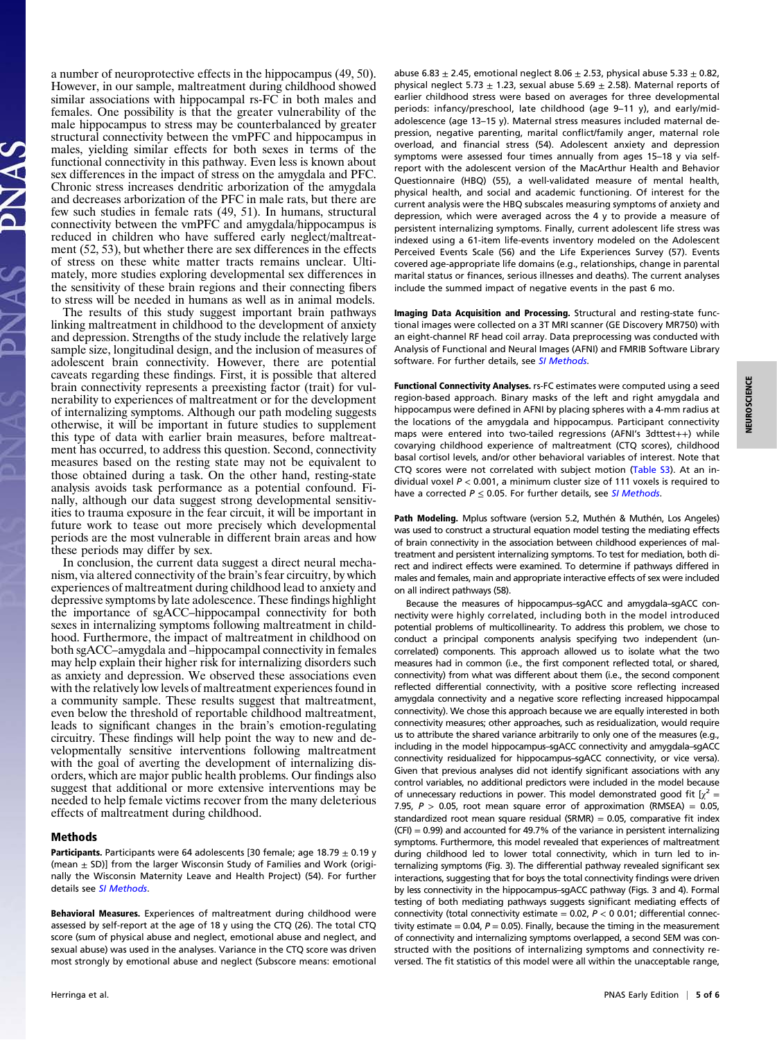a number of neuroprotective effects in the hippocampus (49, 50). However, in our sample, maltreatment during childhood showed similar associations with hippocampal rs-FC in both males and females. One possibility is that the greater vulnerability of the male hippocampus to stress may be counterbalanced by greater structural connectivity between the vmPFC and hippocampus in males, yielding similar effects for both sexes in terms of the functional connectivity in this pathway. Even less is known about sex differences in the impact of stress on the amygdala and PFC. Chronic stress increases dendritic arborization of the amygdala and decreases arborization of the PFC in male rats, but there are few such studies in female rats (49, 51). In humans, structural connectivity between the vmPFC and amygdala/hippocampus is reduced in children who have suffered early neglect/maltreatment (52, 53), but whether there are sex differences in the effects of stress on these white matter tracts remains unclear. Ultimately, more studies exploring developmental sex differences in the sensitivity of these brain regions and their connecting fibers to stress will be needed in humans as well as in animal models.

The results of this study suggest important brain pathways linking maltreatment in childhood to the development of anxiety and depression. Strengths of the study include the relatively large sample size, longitudinal design, and the inclusion of measures of adolescent brain connectivity. However, there are potential caveats regarding these findings. First, it is possible that altered brain connectivity represents a preexisting factor (trait) for vulnerability to experiences of maltreatment or for the development of internalizing symptoms. Although our path modeling suggests otherwise, it will be important in future studies to supplement this type of data with earlier brain measures, before maltreatment has occurred, to address this question. Second, connectivity measures based on the resting state may not be equivalent to those obtained during a task. On the other hand, resting-state analysis avoids task performance as a potential confound. Finally, although our data suggest strong developmental sensitivities to trauma exposure in the fear circuit, it will be important in future work to tease out more precisely which developmental periods are the most vulnerable in different brain areas and how these periods may differ by sex.

In conclusion, the current data suggest a direct neural mechanism, via altered connectivity of the brain's fear circuitry, by which experiences of maltreatment during childhood lead to anxiety and depressive symptoms by late adolescence. These findings highlight the importance of sgACC–hippocampal connectivity for both sexes in internalizing symptoms following maltreatment in childhood. Furthermore, the impact of maltreatment in childhood on both sgACC–amygdala and –hippocampal connectivity in females may help explain their higher risk for internalizing disorders such as anxiety and depression. We observed these associations even with the relatively low levels of maltreatment experiences found in a community sample. These results suggest that maltreatment, even below the threshold of reportable childhood maltreatment, leads to significant changes in the brain's emotion-regulating circuitry. These findings will help point the way to new and developmentally sensitive interventions following maltreatment with the goal of averting the development of internalizing disorders, which are major public health problems. Our findings also suggest that additional or more extensive interventions may be needed to help female victims recover from the many deleterious effects of maltreatment during childhood.

### Methods

**Participants.** Participants were 64 adolescents [30 female; age 18.79  $\pm$  0.19 y (mean  $\pm$  SD)] from the larger Wisconsin Study of Families and Work (originally the Wisconsin Maternity Leave and Health Project) (54). For further details see [SI Methods](http://www.pnas.org/lookup/suppl/doi:10.1073/pnas.1310766110/-/DCSupplemental/pnas.201310766SI.pdf?targetid=nameddest=STXT).

Behavioral Measures. Experiences of maltreatment during childhood were assessed by self-report at the age of 18 y using the CTQ (26). The total CTQ score (sum of physical abuse and neglect, emotional abuse and neglect, and sexual abuse) was used in the analyses. Variance in the CTQ score was driven most strongly by emotional abuse and neglect (Subscore means: emotional abuse 6.83  $\pm$  2.45, emotional neglect 8.06  $\pm$  2.53, physical abuse 5.33  $\pm$  0.82, physical neglect 5.73  $\pm$  1.23, sexual abuse 5.69  $\pm$  2.58). Maternal reports of earlier childhood stress were based on averages for three developmental periods: infancy/preschool, late childhood (age 9–11 y), and early/midadolescence (age 13–15 y). Maternal stress measures included maternal depression, negative parenting, marital conflict/family anger, maternal role overload, and financial stress (54). Adolescent anxiety and depression symptoms were assessed four times annually from ages 15–18 y via selfreport with the adolescent version of the MacArthur Health and Behavior Questionnaire (HBQ) (55), a well-validated measure of mental health, physical health, and social and academic functioning. Of interest for the current analysis were the HBQ subscales measuring symptoms of anxiety and depression, which were averaged across the 4 y to provide a measure of persistent internalizing symptoms. Finally, current adolescent life stress was indexed using a 61-item life-events inventory modeled on the Adolescent Perceived Events Scale (56) and the Life Experiences Survey (57). Events covered age-appropriate life domains (e.g., relationships, change in parental marital status or finances, serious illnesses and deaths). The current analyses include the summed impact of negative events in the past 6 mo.

Imaging Data Acquisition and Processing. Structural and resting-state functional images were collected on a 3T MRI scanner (GE Discovery MR750) with an eight-channel RF head coil array. Data preprocessing was conducted with Analysis of Functional and Neural Images (AFNI) and FMRIB Software Library software. For further details, see [SI Methods](http://www.pnas.org/lookup/suppl/doi:10.1073/pnas.1310766110/-/DCSupplemental/pnas.201310766SI.pdf?targetid=nameddest=STXT).

Functional Connectivity Analyses. rs-FC estimates were computed using a seed region-based approach. Binary masks of the left and right amygdala and hippocampus were defined in AFNI by placing spheres with a 4-mm radius at the locations of the amygdala and hippocampus. Participant connectivity maps were entered into two-tailed regressions (AFNI's 3dttest++) while covarying childhood experience of maltreatment (CTQ scores), childhood basal cortisol levels, and/or other behavioral variables of interest. Note that CTQ scores were not correlated with subject motion ([Table S3\)](http://www.pnas.org/lookup/suppl/doi:10.1073/pnas.1310766110/-/DCSupplemental/pnas.201310766SI.pdf?targetid=nameddest=ST3). At an individual voxel  $P < 0.001$ , a minimum cluster size of 111 voxels is required to have a corrected  $P \le 0.05$ . For further details, see [SI Methods](http://www.pnas.org/lookup/suppl/doi:10.1073/pnas.1310766110/-/DCSupplemental/pnas.201310766SI.pdf?targetid=nameddest=STXT).

Path Modeling. Mplus software (version 5.2, Muthén & Muthén, Los Angeles) was used to construct a structural equation model testing the mediating effects of brain connectivity in the association between childhood experiences of maltreatment and persistent internalizing symptoms. To test for mediation, both direct and indirect effects were examined. To determine if pathways differed in males and females, main and appropriate interactive effects of sex were included on all indirect pathways (58).

Because the measures of hippocampus–sgACC and amygdala–sgACC connectivity were highly correlated, including both in the model introduced potential problems of multicollinearity. To address this problem, we chose to conduct a principal components analysis specifying two independent (uncorrelated) components. This approach allowed us to isolate what the two measures had in common (i.e., the first component reflected total, or shared, connectivity) from what was different about them (i.e., the second component reflected differential connectivity, with a positive score reflecting increased amygdala connectivity and a negative score reflecting increased hippocampal connectivity). We chose this approach because we are equally interested in both connectivity measures; other approaches, such as residualization, would require us to attribute the shared variance arbitrarily to only one of the measures (e.g., including in the model hippocampus–sgACC connectivity and amygdala–sgACC connectivity residualized for hippocampus–sgACC connectivity, or vice versa). Given that previous analyses did not identify significant associations with any control variables, no additional predictors were included in the model because of unnecessary reductions in power. This model demonstrated good fit  $[\chi^2 =$ 7.95,  $P > 0.05$ , root mean square error of approximation (RMSEA) = 0.05, standardized root mean square residual (SRMR) =  $0.05$ , comparative fit index  $(CFI) = 0.99$ ) and accounted for 49.7% of the variance in persistent internalizing symptoms. Furthermore, this model revealed that experiences of maltreatment during childhood led to lower total connectivity, which in turn led to internalizing symptoms (Fig. 3). The differential pathway revealed significant sex interactions, suggesting that for boys the total connectivity findings were driven by less connectivity in the hippocampus–sgACC pathway (Figs. 3 and 4). Formal testing of both mediating pathways suggests significant mediating effects of connectivity (total connectivity estimate = 0.02,  $P < 0$  0.01; differential connectivity estimate = 0.04,  $P = 0.05$ ). Finally, because the timing in the measurement of connectivity and internalizing symptoms overlapped, a second SEM was constructed with the positions of internalizing symptoms and connectivity reversed. The fit statistics of this model were all within the unacceptable range,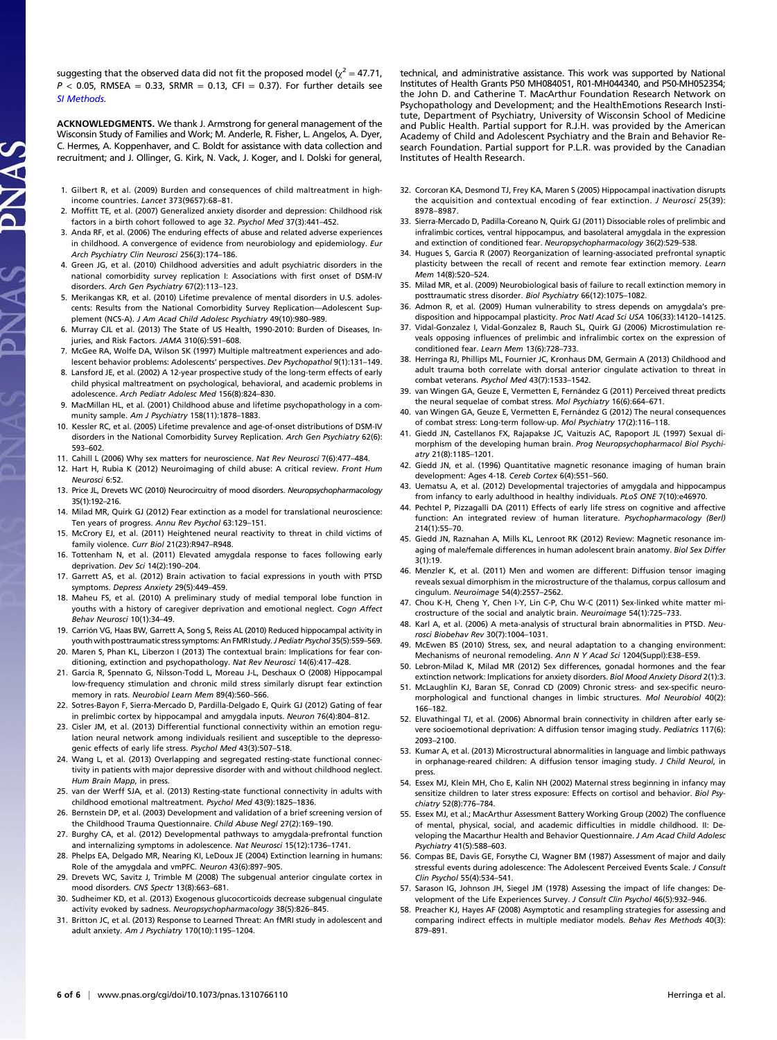suggesting that the observed data did not fit the proposed model ( $\chi^2$  = 47.71,  $P < 0.05$ , RMSEA = 0.33, SRMR = 0.13, CFI = 0.37). For further details see [SI Methods](http://www.pnas.org/lookup/suppl/doi:10.1073/pnas.1310766110/-/DCSupplemental/pnas.201310766SI.pdf?targetid=nameddest=STXT).

ACKNOWLEDGMENTS. We thank J. Armstrong for general management of the Wisconsin Study of Families and Work; M. Anderle, R. Fisher, L. Angelos, A. Dyer, C. Hermes, A. Koppenhaver, and C. Boldt for assistance with data collection and recruitment; and J. Ollinger, G. Kirk, N. Vack, J. Koger, and I. Dolski for general,

- 1. Gilbert R, et al. (2009) Burden and consequences of child maltreatment in highincome countries. Lancet 373(9657):68–81.
- 2. Moffitt TE, et al. (2007) Generalized anxiety disorder and depression: Childhood risk factors in a birth cohort followed to age 32. Psychol Med 37(3):441–452.
- 3. Anda RF, et al. (2006) The enduring effects of abuse and related adverse experiences in childhood. A convergence of evidence from neurobiology and epidemiology. Eur Arch Psychiatry Clin Neurosci 256(3):174–186.
- 4. Green JG, et al. (2010) Childhood adversities and adult psychiatric disorders in the national comorbidity survey replication I: Associations with first onset of DSM-IV disorders. Arch Gen Psychiatry 67(2):113–123.
- 5. Merikangas KR, et al. (2010) Lifetime prevalence of mental disorders in U.S. adolescents: Results from the National Comorbidity Survey Replication—Adolescent Supplement (NCS-A). J Am Acad Child Adolesc Psychiatry 49(10):980–989.
- 6. Murray CJL et al. (2013) The State of US Health, 1990-2010: Burden of Diseases, Injuries, and Risk Factors. JAMA 310(6):591–608.
- 7. McGee RA, Wolfe DA, Wilson SK (1997) Multiple maltreatment experiences and adolescent behavior problems: Adolescents' perspectives. Dev Psychopathol 9(1):131–149.
- 8. Lansford JE, et al. (2002) A 12-year prospective study of the long-term effects of early child physical maltreatment on psychological, behavioral, and academic problems in adolescence. Arch Pediatr Adolesc Med 156(8):824–830.
- 9. MacMillan HL, et al. (2001) Childhood abuse and lifetime psychopathology in a community sample. Am J Psychiatry 158(11):1878–1883.
- 10. Kessler RC, et al. (2005) Lifetime prevalence and age-of-onset distributions of DSM-IV disorders in the National Comorbidity Survey Replication. Arch Gen Psychiatry 62(6): 593–602.
- 11. Cahill L (2006) Why sex matters for neuroscience. Nat Rev Neurosci 7(6):477–484.
- 12. Hart H, Rubia K (2012) Neuroimaging of child abuse: A critical review. Front Hum Neurosci 6:52.
- 13. Price JL, Drevets WC (2010) Neurocircuitry of mood disorders. Neuropsychopharmacology 35(1):192–216.
- 14. Milad MR, Quirk GJ (2012) Fear extinction as a model for translational neuroscience: Ten years of progress. Annu Rev Psychol 63:129-151.
- 15. McCrory EJ, et al. (2011) Heightened neural reactivity to threat in child victims of family violence. Curr Biol 21(23):R947–R948.
- 16. Tottenham N, et al. (2011) Elevated amygdala response to faces following early deprivation. Dev Sci 14(2):190–204.
- 17. Garrett AS, et al. (2012) Brain activation to facial expressions in youth with PTSD symptoms. Depress Anxiety 29(5):449–459.
- 18. Maheu FS, et al. (2010) A preliminary study of medial temporal lobe function in youths with a history of caregiver deprivation and emotional neglect. Cogn Affect Behav Neurosci 10(1):34–49.
- 19. Carrión VG, Haas BW, Garrett A, Song S, Reiss AL (2010) Reduced hippocampal activity in youth with posttraumatic stress symptoms: An FMRI study.J Pediatr Psychol 35(5):559–569.
- 20. Maren S, Phan KL, Liberzon I (2013) The contextual brain: Implications for fear conditioning, extinction and psychopathology. Nat Rev Neurosci 14(6):417–428.
- 21. Garcia R, Spennato G, Nilsson-Todd L, Moreau J-L, Deschaux O (2008) Hippocampal low-frequency stimulation and chronic mild stress similarly disrupt fear extinction memory in rats. Neurobiol Learn Mem 89(4):560–566.
- 22. Sotres-Bayon F, Sierra-Mercado D, Pardilla-Delgado E, Quirk GJ (2012) Gating of fear in prelimbic cortex by hippocampal and amygdala inputs. Neuron 76(4):804–812.
- 23. Cisler JM, et al. (2013) Differential functional connectivity within an emotion regulation neural network among individuals resilient and susceptible to the depressogenic effects of early life stress. Psychol Med 43(3):507-518.
- 24. Wang L, et al. (2013) Overlapping and segregated resting-state functional connectivity in patients with major depressive disorder with and without childhood neglect. Hum Brain Mapp, in press.
- 25. van der Werff SJA, et al. (2013) Resting-state functional connectivity in adults with childhood emotional maltreatment. Psychol Med 43(9):1825–1836.
- 26. Bernstein DP, et al. (2003) Development and validation of a brief screening version of the Childhood Trauma Questionnaire. Child Abuse Negl 27(2):169–190.
- 27. Burghy CA, et al. (2012) Developmental pathways to amygdala-prefrontal function and internalizing symptoms in adolescence. Nat Neurosci 15(12):1736–1741.
- 28. Phelps EA, Delgado MR, Nearing KI, LeDoux JE (2004) Extinction learning in humans: Role of the amygdala and vmPFC. Neuron 43(6):897–905.
- 29. Drevets WC, Savitz J, Trimble M (2008) The subgenual anterior cingulate cortex in mood disorders. CNS Spectr 13(8):663–681.
- 30. Sudheimer KD, et al. (2013) Exogenous glucocorticoids decrease subgenual cingulate activity evoked by sadness. Neuropsychopharmacology 38(5):826–845.
- 31. Britton JC, et al. (2013) Response to Learned Threat: An fMRI study in adolescent and adult anxiety. Am J Psychiatry 170(10):1195–1204.

technical, and administrative assistance. This work was supported by National Institutes of Health Grants P50 MH084051, R01-MH044340, and P50-MH052354; the John D. and Catherine T. MacArthur Foundation Research Network on Psychopathology and Development; and the HealthEmotions Research Institute, Department of Psychiatry, University of Wisconsin School of Medicine and Public Health. Partial support for R.J.H. was provided by the American Academy of Child and Adolescent Psychiatry and the Brain and Behavior Research Foundation. Partial support for P.L.R. was provided by the Canadian Institutes of Health Research.

- 32. Corcoran KA, Desmond TJ, Frey KA, Maren S (2005) Hippocampal inactivation disrupts the acquisition and contextual encoding of fear extinction. J Neurosci 25(39): 8978–8987.
- 33. Sierra-Mercado D, Padilla-Coreano N, Quirk GJ (2011) Dissociable roles of prelimbic and infralimbic cortices, ventral hippocampus, and basolateral amygdala in the expression and extinction of conditioned fear. Neuropsychopharmacology 36(2):529–538.
- 34. Hugues S, Garcia R (2007) Reorganization of learning-associated prefrontal synaptic plasticity between the recall of recent and remote fear extinction memory. Learn Mem 14(8):520–524.
- 35. Milad MR, et al. (2009) Neurobiological basis of failure to recall extinction memory in posttraumatic stress disorder. Biol Psychiatry 66(12):1075–1082.
- 36. Admon R, et al. (2009) Human vulnerability to stress depends on amygdala's predisposition and hippocampal plasticity. Proc Natl Acad Sci USA 106(33):14120–14125.
- 37. Vidal-Gonzalez I, Vidal-Gonzalez B, Rauch SL, Quirk GJ (2006) Microstimulation reveals opposing influences of prelimbic and infralimbic cortex on the expression of conditioned fear. Learn Mem 13(6):728–733.
- 38. Herringa RJ, Phillips ML, Fournier JC, Kronhaus DM, Germain A (2013) Childhood and adult trauma both correlate with dorsal anterior cingulate activation to threat in combat veterans. Psychol Med 43(7):1533–1542.
- 39. van Wingen GA, Geuze E, Vermetten E, Fernández G (2011) Perceived threat predicts the neural sequelae of combat stress. Mol Psychiatry 16(6):664-671.
- 40. van Wingen GA, Geuze E, Vermetten E, Fernández G (2012) The neural consequences of combat stress: Long-term follow-up. Mol Psychiatry 17(2):116–118.
- 41. Giedd JN, Castellanos FX, Rajapakse JC, Vaituzis AC, Rapoport JL (1997) Sexual dimorphism of the developing human brain. Prog Neuropsychopharmacol Biol Psychiatry 21(8):1185–1201.
- 42. Giedd JN, et al. (1996) Quantitative magnetic resonance imaging of human brain development: Ages 4-18. Cereb Cortex 6(4):551–560.
- 43. Uematsu A, et al. (2012) Developmental trajectories of amygdala and hippocampus from infancy to early adulthood in healthy individuals. PLoS ONE 7(10):e46970.
- 44. Pechtel P, Pizzagalli DA (2011) Effects of early life stress on cognitive and affective function: An integrated review of human literature. Psychopharmacology (Berl) 214(1):55–70.
- 45. Giedd JN, Raznahan A, Mills KL, Lenroot RK (2012) Review: Magnetic resonance imaging of male/female differences in human adolescent brain anatomy. Biol Sex Differ 3(1):19.
- 46. Menzler K, et al. (2011) Men and women are different: Diffusion tensor imaging reveals sexual dimorphism in the microstructure of the thalamus, corpus callosum and cingulum. Neuroimage 54(4):2557–2562.
- 47. Chou K-H, Cheng Y, Chen I-Y, Lin C-P, Chu W-C (2011) Sex-linked white matter microstructure of the social and analytic brain. Neuroimage 54(1):725–733.
- 48. Karl A, et al. (2006) A meta-analysis of structural brain abnormalities in PTSD. Neurosci Biobehav Rev 30(7):1004–1031.
- 49. McEwen BS (2010) Stress, sex, and neural adaptation to a changing environment: Mechanisms of neuronal remodeling. Ann N Y Acad Sci 1204(Suppl):E38–E59.
- 50. Lebron-Milad K, Milad MR (2012) Sex differences, gonadal hormones and the fear extinction network: Implications for anxiety disorders. Biol Mood Anxiety Disord 2(1):3.
- 51. McLaughlin KJ, Baran SE, Conrad CD (2009) Chronic stress- and sex-specific neuromorphological and functional changes in limbic structures. Mol Neurobiol 40(2): 166–182.
- 52. Eluvathingal TJ, et al. (2006) Abnormal brain connectivity in children after early severe socioemotional deprivation: A diffusion tensor imaging study. Pediatrics 117(6): 2093–2100.
- 53. Kumar A, et al. (2013) Microstructural abnormalities in language and limbic pathways in orphanage-reared children: A diffusion tensor imaging study. J Child Neurol, in press.
- 54. Essex MJ, Klein MH, Cho E, Kalin NH (2002) Maternal stress beginning in infancy may sensitize children to later stress exposure: Effects on cortisol and behavior. Biol Psychiatry 52(8):776–784.
- 55. Essex MJ, et al.; MacArthur Assessment Battery Working Group (2002) The confluence of mental, physical, social, and academic difficulties in middle childhood. II: Developing the Macarthur Health and Behavior Questionnaire. J Am Acad Child Adolesc Psychiatry 41(5):588–603.
- 56. Compas BE, Davis GE, Forsythe CJ, Wagner BM (1987) Assessment of major and daily stressful events during adolescence: The Adolescent Perceived Events Scale. J Consult Clin Psychol 55(4):534–541.
- 57. Sarason IG, Johnson JH, Siegel JM (1978) Assessing the impact of life changes: Development of the Life Experiences Survey. J Consult Clin Psychol 46(5):932–946.
- 58. Preacher KJ, Hayes AF (2008) Asymptotic and resampling strategies for assessing and comparing indirect effects in multiple mediator models. Behav Res Methods 40(3): 879–891.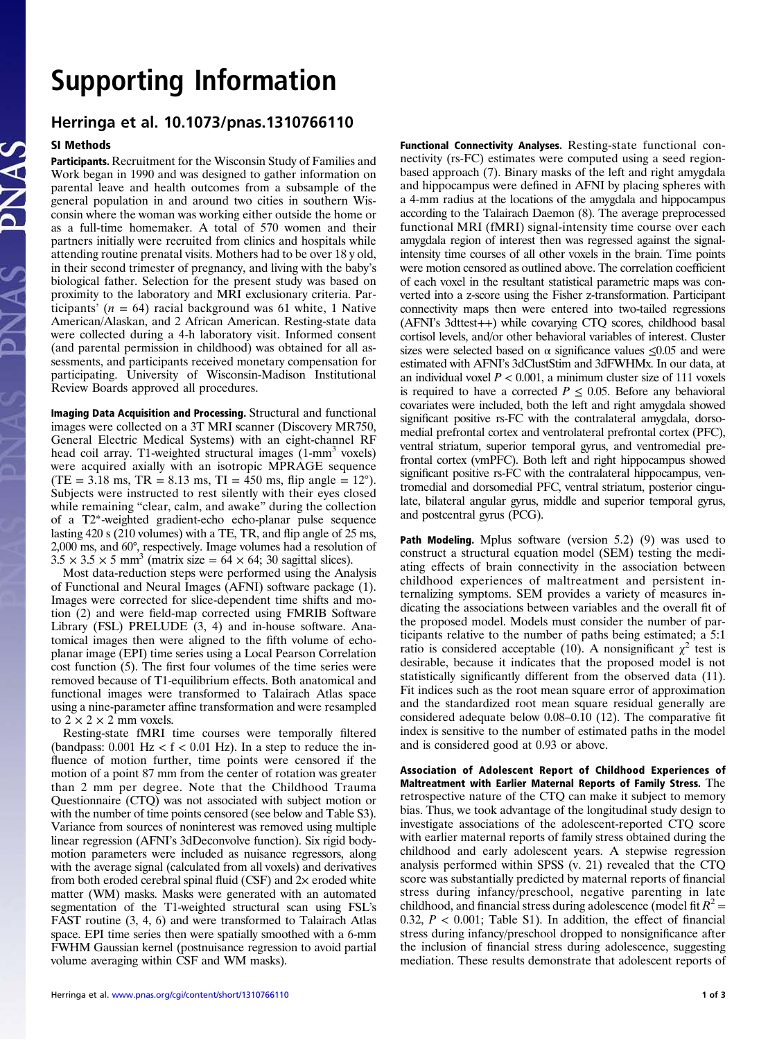# Supporting Information

# Herringa et al. 10.1073/pnas.1310766110

## SI Methods

Participants. Recruitment for the Wisconsin Study of Families and Work began in 1990 and was designed to gather information on parental leave and health outcomes from a subsample of the general population in and around two cities in southern Wisconsin where the woman was working either outside the home or as a full-time homemaker. A total of 570 women and their partners initially were recruited from clinics and hospitals while attending routine prenatal visits. Mothers had to be over 18 y old, in their second trimester of pregnancy, and living with the baby's biological father. Selection for the present study was based on proximity to the laboratory and MRI exclusionary criteria. Participants' ( $n = 64$ ) racial background was 61 white, 1 Native American/Alaskan, and 2 African American. Resting-state data were collected during a 4-h laboratory visit. Informed consent (and parental permission in childhood) was obtained for all assessments, and participants received monetary compensation for participating. University of Wisconsin-Madison Institutional Review Boards approved all procedures.

Imaging Data Acquisition and Processing. Structural and functional images were collected on a 3T MRI scanner (Discovery MR750, General Electric Medical Systems) with an eight-channel RF head coil array. T1-weighted structural images (1-mm<sup>3</sup> voxels) were acquired axially with an isotropic MPRAGE sequence (TE = 3.18 ms, TR = 8.13 ms, TI = 450 ms, flip angle =  $12^{\circ}$ ). Subjects were instructed to rest silently with their eyes closed while remaining "clear, calm, and awake" during the collection of a T2\*-weighted gradient-echo echo-planar pulse sequence lasting 420 s (210 volumes) with a TE, TR, and flip angle of 25 ms, 2,000 ms, and 60°, respectively. Image volumes had a resolution of  $3.5 \times 3.5 \times 5$  mm<sup>3</sup> (matrix size = 64  $\times$  64; 30 sagittal slices).

Most data-reduction steps were performed using the Analysis of Functional and Neural Images (AFNI) software package (1). Images were corrected for slice-dependent time shifts and motion (2) and were field-map corrected using FMRIB Software Library (FSL) PRELUDE (3, 4) and in-house software. Anatomical images then were aligned to the fifth volume of echoplanar image (EPI) time series using a Local Pearson Correlation cost function (5). The first four volumes of the time series were removed because of T1-equilibrium effects. Both anatomical and functional images were transformed to Talairach Atlas space using a nine-parameter affine transformation and were resampled to  $2 \times 2 \times 2$  mm voxels.

Resting-state fMRI time courses were temporally filtered (bandpass:  $0.001$  Hz  $< f < 0.01$  Hz). In a step to reduce the influence of motion further, time points were censored if the motion of a point 87 mm from the center of rotation was greater than 2 mm per degree. Note that the Childhood Trauma Questionnaire (CTQ) was not associated with subject motion or with the number of time points censored (see below and Table S3). Variance from sources of noninterest was removed using multiple linear regression (AFNI's 3dDeconvolve function). Six rigid bodymotion parameters were included as nuisance regressors, along with the average signal (calculated from all voxels) and derivatives from both eroded cerebral spinal fluid (CSF) and  $2\times$  eroded white matter (WM) masks. Masks were generated with an automated segmentation of the T1-weighted structural scan using FSL's FAST routine (3, 4, 6) and were transformed to Talairach Atlas space. EPI time series then were spatially smoothed with a 6-mm FWHM Gaussian kernel (postnuisance regression to avoid partial volume averaging within CSF and WM masks).

Functional Connectivity Analyses. Resting-state functional connectivity (rs-FC) estimates were computed using a seed regionbased approach (7). Binary masks of the left and right amygdala and hippocampus were defined in AFNI by placing spheres with a 4-mm radius at the locations of the amygdala and hippocampus according to the Talairach Daemon (8). The average preprocessed functional MRI (fMRI) signal-intensity time course over each amygdala region of interest then was regressed against the signalintensity time courses of all other voxels in the brain. Time points were motion censored as outlined above. The correlation coefficient of each voxel in the resultant statistical parametric maps was converted into a z-score using the Fisher z-transformation. Participant connectivity maps then were entered into two-tailed regressions (AFNI's 3dttest++) while covarying CTQ scores, childhood basal cortisol levels, and/or other behavioral variables of interest. Cluster sizes were selected based on  $\alpha$  significance values  $\leq 0.05$  and were estimated with AFNI's 3dClustStim and 3dFWHMx. In our data, at an individual voxel  $P < 0.001$ , a minimum cluster size of 111 voxels is required to have a corrected  $P \leq 0.05$ . Before any behavioral covariates were included, both the left and right amygdala showed significant positive rs-FC with the contralateral amygdala, dorsomedial prefrontal cortex and ventrolateral prefrontal cortex (PFC), ventral striatum, superior temporal gyrus, and ventromedial prefrontal cortex (vmPFC). Both left and right hippocampus showed significant positive rs-FC with the contralateral hippocampus, ventromedial and dorsomedial PFC, ventral striatum, posterior cingulate, bilateral angular gyrus, middle and superior temporal gyrus, and postcentral gyrus (PCG).

Path Modeling. Mplus software (version 5.2) (9) was used to construct a structural equation model (SEM) testing the mediating effects of brain connectivity in the association between childhood experiences of maltreatment and persistent internalizing symptoms. SEM provides a variety of measures indicating the associations between variables and the overall fit of the proposed model. Models must consider the number of participants relative to the number of paths being estimated; a 5:1 ratio is considered acceptable (10). A nonsignificant  $\chi^2$  test is desirable, because it indicates that the proposed model is not statistically significantly different from the observed data (11). Fit indices such as the root mean square error of approximation and the standardized root mean square residual generally are considered adequate below 0.08–0.10 (12). The comparative fit index is sensitive to the number of estimated paths in the model and is considered good at 0.93 or above.

Association of Adolescent Report of Childhood Experiences of Maltreatment with Earlier Maternal Reports of Family Stress. The retrospective nature of the CTQ can make it subject to memory bias. Thus, we took advantage of the longitudinal study design to investigate associations of the adolescent-reported CTQ score with earlier maternal reports of family stress obtained during the childhood and early adolescent years. A stepwise regression analysis performed within SPSS (v. 21) revealed that the CTQ score was substantially predicted by maternal reports of financial stress during infancy/preschool, negative parenting in late childhood, and financial stress during adolescence (model fit  $R^2$  = 0.32,  $P < 0.001$ ; Table S1). In addition, the effect of financial stress during infancy/preschool dropped to nonsignificance after the inclusion of financial stress during adolescence, suggesting mediation. These results demonstrate that adolescent reports of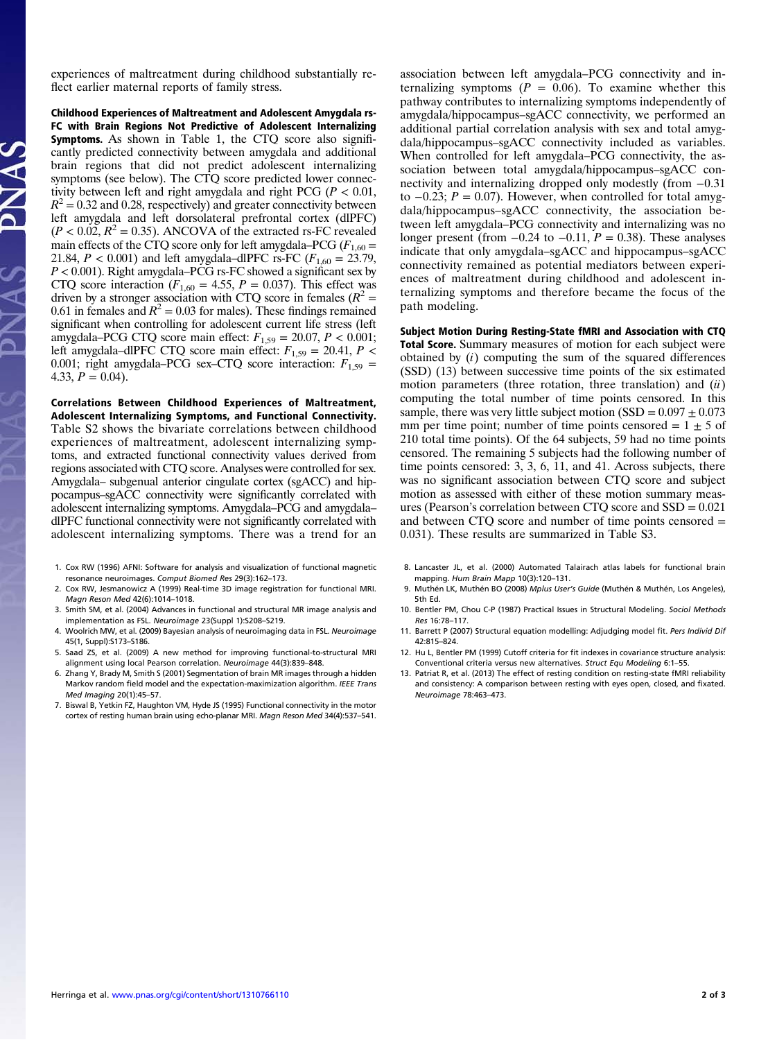experiences of maltreatment during childhood substantially reflect earlier maternal reports of family stress.

Childhood Experiences of Maltreatment and Adolescent Amygdala rs-FC with Brain Regions Not Predictive of Adolescent Internalizing Symptoms. As shown in Table 1, the CTQ score also significantly predicted connectivity between amygdala and additional brain regions that did not predict adolescent internalizing symptoms (see below). The CTQ score predicted lower connectivity between left and right amygdala and right PCG ( $P < 0.01$ ,  $R^2$  = 0.32 and 0.28, respectively) and greater connectivity between left amygdala and left dorsolateral prefrontal cortex (dlPFC)  $(P < 0.02, R^2 = 0.35)$ . ANCOVA of the extracted rs-FC revealed main effects of the CTQ score only for left amygdala–PCG ( $F_{1,60}$  = 21.84,  $P < 0.001$ ) and left amygdala–dlPFC rs-FC ( $F_{1,60} = 23.79$ ,  $P < 0.001$ ). Right amygdala–PCG rs-FC showed a significant sex by CTQ score interaction ( $F_{1,60} = 4.55$ ,  $P = 0.037$ ). This effect was driven by a stronger association with CTQ score in females ( $R^2$  = 0.61 in females and  $R^2 = 0.03$  for males). These findings remained significant when controlling for adolescent current life stress (left amygdala–PCG CTQ score main effect:  $F_{1,59} = 20.07$ ,  $P < 0.001$ ; left amygdala–dlPFC CTQ score main effect:  $F_{1,59} = 20.41$ ,  $P <$ 0.001; right amygdala–PCG sex–CTQ score interaction:  $F_{1,59}$  = 4.33,  $P = 0.04$ ).

Correlations Between Childhood Experiences of Maltreatment, Adolescent Internalizing Symptoms, and Functional Connectivity. Table S2 shows the bivariate correlations between childhood experiences of maltreatment, adolescent internalizing symptoms, and extracted functional connectivity values derived from

regions associated with CTQ score. Analyses were controlled for sex. Amygdala– subgenual anterior cingulate cortex (sgACC) and hippocampus–sgACC connectivity were significantly correlated with adolescent internalizing symptoms. Amygdala–PCG and amygdala– dlPFC functional connectivity were not significantly correlated with adolescent internalizing symptoms. There was a trend for an

- 1. Cox RW (1996) AFNI: Software for analysis and visualization of functional magnetic resonance neuroimages. Comput Biomed Res 29(3):162–173.
- 2. Cox RW, Jesmanowicz A (1999) Real-time 3D image registration for functional MRI. Magn Reson Med 42(6):1014–1018.
- 3. Smith SM, et al. (2004) Advances in functional and structural MR image analysis and implementation as FSL. Neuroimage 23(Suppl 1):S208–S219.
- 4. Woolrich MW, et al. (2009) Bayesian analysis of neuroimaging data in FSL. Neuroimage 45(1, Suppl):S173–S186.
- 5. Saad ZS, et al. (2009) A new method for improving functional-to-structural MRI alignment using local Pearson correlation. Neuroimage 44(3):839–848.
- 6. Zhang Y, Brady M, Smith S (2001) Segmentation of brain MR images through a hidden Markov random field model and the expectation-maximization algorithm. IEEE Trans Med Imaging 20(1):45–57.
- 7. Biswal B, Yetkin FZ, Haughton VM, Hyde JS (1995) Functional connectivity in the motor cortex of resting human brain using echo-planar MRI. Magn Reson Med 34(4):537–541.

association between left amygdala–PCG connectivity and internalizing symptoms ( $P = 0.06$ ). To examine whether this pathway contributes to internalizing symptoms independently of amygdala/hippocampus–sgACC connectivity, we performed an additional partial correlation analysis with sex and total amygdala/hippocampus–sgACC connectivity included as variables. When controlled for left amygdala–PCG connectivity, the association between total amygdala/hippocampus–sgACC connectivity and internalizing dropped only modestly (from −0.31 to  $-0.23$ ;  $P = 0.07$ ). However, when controlled for total amygdala/hippocampus–sgACC connectivity, the association between left amygdala–PCG connectivity and internalizing was no longer present (from  $-0.24$  to  $-0.11$ ,  $P = 0.38$ ). These analyses indicate that only amygdala–sgACC and hippocampus–sgACC connectivity remained as potential mediators between experiences of maltreatment during childhood and adolescent internalizing symptoms and therefore became the focus of the path modeling.

Subject Motion During Resting-State fMRI and Association with CTQ Total Score. Summary measures of motion for each subject were obtained by  $(i)$  computing the sum of the squared differences (SSD) (13) between successive time points of the six estimated motion parameters (three rotation, three translation) and  $(ii)$ computing the total number of time points censored. In this sample, there was very little subject motion (SSD =  $0.097 \pm 0.073$ ) mm per time point; number of time points censored  $= 1 \pm 5$  of 210 total time points). Of the 64 subjects, 59 had no time points censored. The remaining 5 subjects had the following number of time points censored: 3, 3, 6, 11, and 41. Across subjects, there was no significant association between CTQ score and subject motion as assessed with either of these motion summary measures (Pearson's correlation between CTQ score and SSD = 0.021 and between CTQ score and number of time points censored = 0.031). These results are summarized in Table S3.

- 8. Lancaster JL, et al. (2000) Automated Talairach atlas labels for functional brain mapping. Hum Brain Mapp 10(3):120–131.
- 9. Muthén LK, Muthén BO (2008) Mplus User's Guide (Muthén & Muthén, Los Angeles), 5th Ed.
- 10. Bentler PM, Chou C-P (1987) Practical Issues in Structural Modeling. Sociol Methods Res 16:78–117.
- 11. Barrett P (2007) Structural equation modelling: Adjudging model fit. Pers Individ Dif 42:815–824.
- 12. Hu L, Bentler PM (1999) Cutoff criteria for fit indexes in covariance structure analysis: Conventional criteria versus new alternatives. Struct Equ Modeling 6:1–55.
- 13. Patriat R, et al. (2013) The effect of resting condition on resting-state fMRI reliability and consistency: A comparison between resting with eyes open, closed, and fixated. Neuroimage 78:463–473.